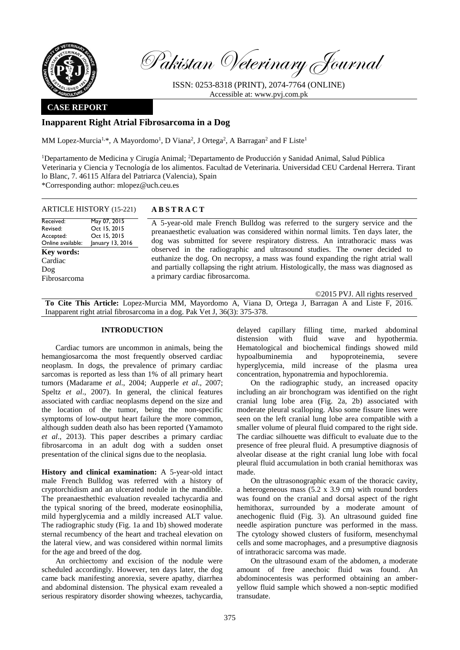

Pakistan Veterinary Journal

ISSN: 0253-8318 (PRINT), 2074-7764 (ONLINE) Accessible at: [www.pvj.com.pk](http://www.pvj.com.pk/)

## **CASE REPORT**

# **Inapparent Right Atrial Fibrosarcoma in a Dog**

MM Lopez-Murcia<sup>1,\*</sup>, A Mayordomo<sup>1</sup>, D Viana<sup>2</sup>, J Ortega<sup>2</sup>, A Barragan<sup>2</sup> and F Liste<sup>1</sup>

<sup>1</sup>Departamento de Medicina y Cirugía Animal; <sup>2</sup>Departamento de Producción y Sanidad Animal, Salud Pública Veterinaria y Ciencia y Tecnología de los alimentos. Facultad de Veterinaria. Universidad CEU Cardenal Herrera. Tirant lo Blanc, 7. 46115 Alfara del Patriarca (Valencia), Spain \*Corresponding author: mlopez@uch.ceu.es

### ARTICLE HISTORY (15-221) **A B S T R A C T**

| Received:<br>May 07, 2015<br>Oct 15, 2015<br>Revised:<br>Oct 15, 2015<br>Accepted:<br>January 13, 2016<br>Online available:<br><b>Key words:</b><br>Cardiac<br>Dog<br>Fibrosarcoma | A 5-year-old male French Bulldog was referred to the surgery service and the<br>preanaesthetic evaluation was considered within normal limits. Ten days later, the<br>dog was submitted for severe respiratory distress. An intrathoracic mass was<br>observed in the radiographic and ultrasound studies. The owner decided to<br>euthanize the dog. On necropsy, a mass was found expanding the right atrial wall<br>and partially collapsing the right atrium. Histologically, the mass was diagnosed as<br>a primary cardiac fibrosarcoma. |
|------------------------------------------------------------------------------------------------------------------------------------------------------------------------------------|------------------------------------------------------------------------------------------------------------------------------------------------------------------------------------------------------------------------------------------------------------------------------------------------------------------------------------------------------------------------------------------------------------------------------------------------------------------------------------------------------------------------------------------------|
|------------------------------------------------------------------------------------------------------------------------------------------------------------------------------------|------------------------------------------------------------------------------------------------------------------------------------------------------------------------------------------------------------------------------------------------------------------------------------------------------------------------------------------------------------------------------------------------------------------------------------------------------------------------------------------------------------------------------------------------|

©2015 PVJ. All rights reserved

**To Cite This Article:** Lopez-Murcia MM, Mayordomo A, Viana D, Ortega J, Barragan A and Liste F, 2016. Inapparent right atrial fibrosarcoma in a dog. Pak Vet J, 36(3): 375-378.

#### **INTRODUCTION**

Cardiac tumors are uncommon in animals, being the hemangiosarcoma the most frequently observed cardiac neoplasm. In dogs, the prevalence of primary cardiac sarcomas is reported as less than 1% of all primary heart tumors (Madarame *et al*., 2004; Aupperle *et al*., 2007; Speltz *et al*., 2007). In general, the clinical features associated with cardiac neoplasms depend on the size and the location of the tumor, being the non-specific symptoms of low-output heart failure the more common, although sudden death also has been reported (Yamamoto *et al*., 2013). This paper describes a primary cardiac fibrosarcoma in an adult dog with a sudden onset presentation of the clinical signs due to the neoplasia.

**History and clinical examination:** A 5-year-old intact male French Bulldog was referred with a history of cryptorchidism and an ulcerated nodule in the mandible. The preanaesthethic evaluation revealed tachycardia and the typical snoring of the breed, moderate eosinophilia, mild hyperglycemia and a mildly increased ALT value. The radiographic study (Fig. 1a and 1b) showed moderate sternal recumbency of the heart and tracheal elevation on the lateral view, and was considered within normal limits for the age and breed of the dog.

An orchiectomy and excision of the nodule were scheduled accordingly. However, ten days later, the dog came back manifesting anorexia, severe apathy, diarrhea and abdominal distension. The physical exam revealed a serious respiratory disorder showing wheezes, tachycardia,

delayed capillary filling time, marked abdominal distension with fluid wave and hypothermia. Hematological and biochemical findings showed mild hypoalbuminemia and hypoproteinemia, severe hyperglycemia, mild increase of the plasma urea concentration, hyponatremia and hypochloremia.

On the radiographic study, an increased opacity including an air bronchogram was identified on the right cranial lung lobe area (Fig. 2a, 2b) associated with moderate pleural scalloping. Also some fissure lines were seen on the left cranial lung lobe area compatible with a smaller volume of pleural fluid compared to the right side. The cardiac silhouette was difficult to evaluate due to the presence of free pleural fluid. A presumptive diagnosis of alveolar disease at the right cranial lung lobe with focal pleural fluid accumulation in both cranial hemithorax was made.

On the ultrasonographic exam of the thoracic cavity, a heterogeneous mass (5.2 x 3.9 cm) with round borders was found on the cranial and dorsal aspect of the right hemithorax, surrounded by a moderate amount of anechogenic fluid (Fig. 3). An ultrasound guided fine needle aspiration puncture was performed in the mass. The cytology showed clusters of fusiform, mesenchymal cells and some macrophages, and a presumptive diagnosis of intrathoracic sarcoma was made.

On the ultrasound exam of the abdomen, a moderate amount of free anechoic fluid was found. An abdominocentesis was performed obtaining an amberyellow fluid sample which showed a non-septic modified transudate.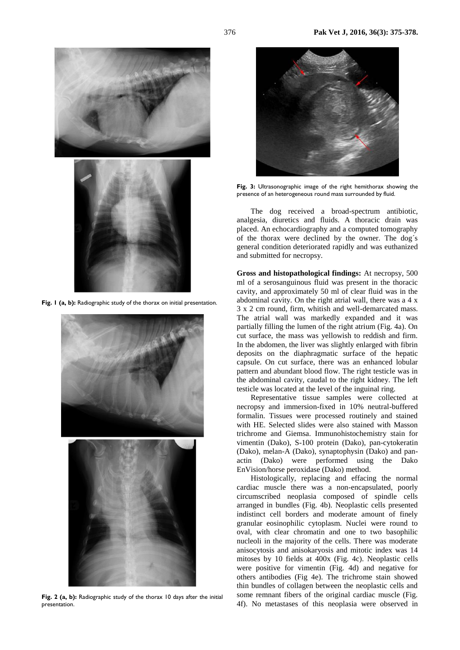



Fig. 1 (a, b): Radiographic study of the thorax on initial presentation.



Fig. 2 (a, b): Radiographic study of the thorax 10 days after the initial presentation.



**Fig. 3:** Ultrasonographic image of the right hemithorax showing the presence of an heterogeneous round mass surrounded by fluid.

The dog received a broad-spectrum antibiotic, analgesia, diuretics and fluids. A thoracic drain was placed. An echocardiography and a computed tomography of the thorax were declined by the owner. The dog´s general condition deteriorated rapidly and was euthanized and submitted for necropsy.

**Gross and histopathological findings:** At necropsy, 500 ml of a serosanguinous fluid was present in the thoracic cavity, and approximately 50 ml of clear fluid was in the abdominal cavity. On the right atrial wall, there was a 4 x 3 x 2 cm round, firm, whitish and well-demarcated mass. The atrial wall was markedly expanded and it was partially filling the lumen of the right atrium (Fig. 4a). On cut surface, the mass was yellowish to reddish and firm. In the abdomen, the liver was slightly enlarged with fibrin deposits on the diaphragmatic surface of the hepatic capsule. On cut surface, there was an enhanced lobular pattern and abundant blood flow. The right testicle was in the abdominal cavity, caudal to the right kidney. The left testicle was located at the level of the inguinal ring.

Representative tissue samples were collected at necropsy and immersion-fixed in 10% neutral-buffered formalin. Tissues were processed routinely and stained with HE. Selected slides were also stained with Masson trichrome and Giemsa. Immunohistochemistry stain for vimentin (Dako), S-100 protein (Dako), pan-cytokeratin (Dako), melan-A (Dako), synaptophysin (Dako) and panactin (Dako) were performed using the Dako EnVision/horse peroxidase (Dako) method.

Histologically, replacing and effacing the normal cardiac muscle there was a non-encapsulated, poorly circumscribed neoplasia composed of spindle cells arranged in bundles (Fig. 4b). Neoplastic cells presented indistinct cell borders and moderate amount of finely granular eosinophilic cytoplasm. Nuclei were round to oval, with clear chromatin and one to two basophilic nucleoli in the majority of the cells. There was moderate anisocytosis and anisokaryosis and mitotic index was 14 mitoses by 10 fields at 400x (Fig. 4c). Neoplastic cells were positive for vimentin (Fig. 4d) and negative for others antibodies (Fig 4e). The trichrome stain showed thin bundles of collagen between the neoplastic cells and some remnant fibers of the original cardiac muscle (Fig. 4f). No metastases of this neoplasia were observed in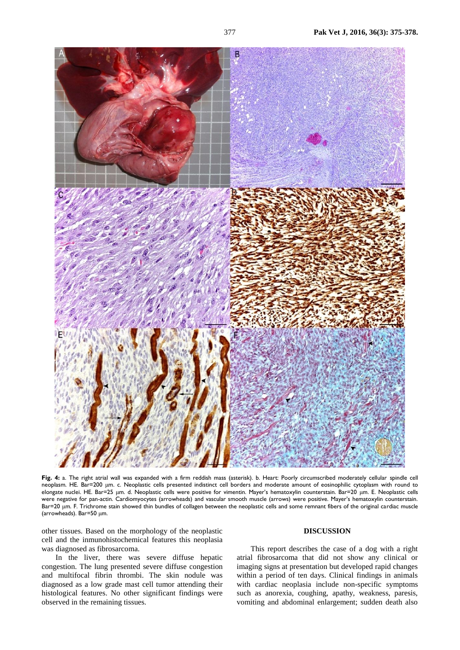

**Fig. 4:** a. The right atrial wall was expanded with a firm reddish mass (asterisk). b. Heart: Poorly circumscribed moderately cellular spindle cell neoplasm. HE. Bar=200 μm. c. Neoplastic cells presented indistinct cell borders and moderate amount of eosinophilic cytoplasm with round to elongate nuclei. HE. Bar=25 μm. d. Neoplastic cells were positive for vimentin. Mayer's hematoxylin counterstain. Bar=20 μm. E. Neoplastic cells were negative for pan-actin. Cardiomyocytes (arrowheads) and vascular smooth muscle (arrows) were positive. Mayer's hematoxylin counterstain. Bar=20 μm. F. Trichrome stain showed thin bundles of collagen between the neoplastic cells and some remnant fibers of the original cardiac muscle (arrowheads). Bar=50 μm.

other tissues. Based on the morphology of the neoplastic cell and the inmunohistochemical features this neoplasia was diagnosed as fibrosarcoma.

In the liver, there was severe diffuse hepatic congestion. The lung presented severe diffuse congestion and multifocal fibrin thrombi. The skin nodule was diagnosed as a low grade mast cell tumor attending their histological features. No other significant findings were observed in the remaining tissues.

## **DISCUSSION**

This report describes the case of a dog with a right atrial fibrosarcoma that did not show any clinical or imaging signs at presentation but developed rapid changes within a period of ten days. Clinical findings in animals with cardiac neoplasia include non-specific symptoms such as anorexia, coughing, apathy, weakness, paresis, vomiting and abdominal enlargement; sudden death also